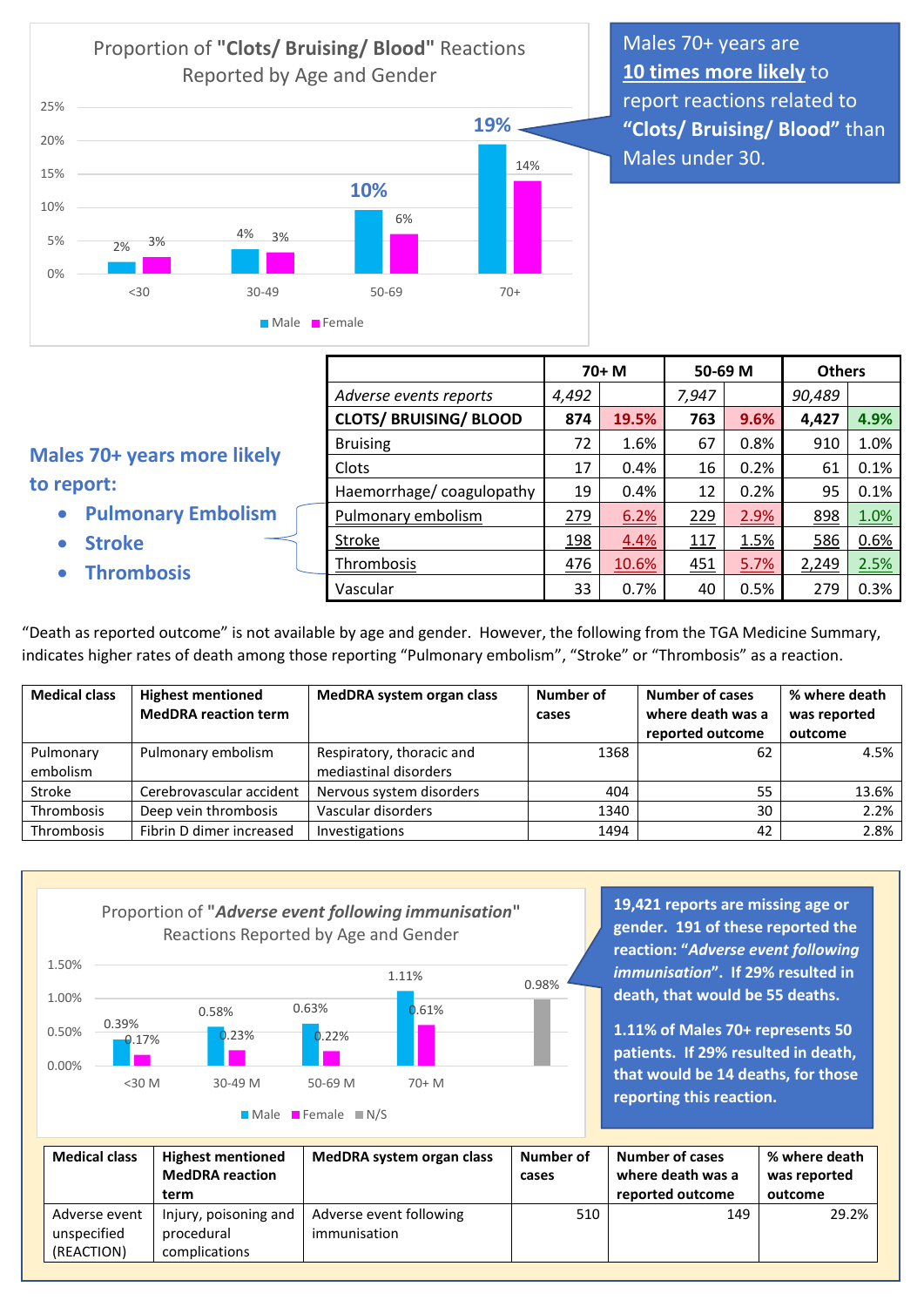2% 4% **10% 19%** 3% 3% 6% 14% 0% 5% 10% 15% 20% 25% <30 30-49 50-69 70+ Proportion of **"Clots/ Bruising/ Blood"** Reactions Reported by Age and Gender **Male Female** 

Males 70+ years are **10 times more likely** to report reactions related to **"Clots/ Bruising/ Blood"** than Males under 30.

## **Males 70+ years more like to report:**

- **Pulmonary Emboli**
- **Stroke**
- **Thrombosis**

|      |                               | $70+ M$ |       | 50-69 M |      | <b>Others</b> |      |
|------|-------------------------------|---------|-------|---------|------|---------------|------|
|      | Adverse events reports        | 4,492   |       | 7,947   |      | 90,489        |      |
|      | <b>CLOTS/ BRUISING/ BLOOD</b> | 874     | 19.5% | 763     | 9.6% | 4,427         | 4.9% |
| cely | <b>Bruising</b>               | 72      | 1.6%  | 67      | 0.8% | 910           | 1.0% |
|      | Clots                         | 17      | 0.4%  | 16      | 0.2% | 61            | 0.1% |
|      | Haemorrhage/coagulopathy      | 19      | 0.4%  | 12      | 0.2% | 95            | 0.1% |
| ism  | Pulmonary embolism            | 279     | 6.2%  | 229     | 2.9% | 898           | 1.0% |
|      | <b>Stroke</b>                 | 198     | 4.4%  | 117     | 1.5% | 586           | 0.6% |
|      | Thrombosis                    | 476     | 10.6% | 451     | 5.7% | 2,249         | 2.5% |
|      | Vascular                      | 33      | 0.7%  | 40      | 0.5% | 279           | 0.3% |
|      |                               |         |       |         |      |               |      |

"Death as reported outcome" is not available by age and gender. However, the following from the TGA Medicine Summary, indicates higher rates of death among those reporting "Pulmonary embolism", "Stroke" or "Thrombosis" as a reaction.

| <b>Medical class</b>  | <b>Highest mentioned</b><br><b>MedDRA</b> reaction term | MedDRA system organ class                          | Number of<br>cases | <b>Number of cases</b><br>where death was a<br>reported outcome | % where death<br>was reported<br>outcome |
|-----------------------|---------------------------------------------------------|----------------------------------------------------|--------------------|-----------------------------------------------------------------|------------------------------------------|
| Pulmonary<br>embolism | Pulmonary embolism                                      | Respiratory, thoracic and<br>mediastinal disorders | 1368               | 62                                                              | 4.5%                                     |
| Stroke                | Cerebrovascular accident                                | Nervous system disorders                           | 404                | 55                                                              | 13.6%                                    |
| Thrombosis            | Deep vein thrombosis                                    | Vascular disorders                                 | 1340               | 30                                                              | 2.2%                                     |
| Thrombosis            | Fibrin D dimer increased                                | Investigations                                     | 1494               | 42                                                              | 2.8%                                     |



Male Female N/S

**19,421 reports are missing age or gender. 191 of these reported the reaction: "***Adverse event following immunisation***". If 29% resulted in death, that would be 55 deaths.**

**1.11% of Males 70+ represents 50 patients. If 29% resulted in death, that would be 14 deaths, for those reporting this reaction.**

| <b>Medical class</b>                       | <b>Highest mentioned</b><br><b>MedDRA</b> reaction<br>term | MedDRA system organ class               | Number of<br>cases | <b>Number of cases</b><br>where death was a<br>reported outcome | % where death<br>was reported<br>outcome |
|--------------------------------------------|------------------------------------------------------------|-----------------------------------------|--------------------|-----------------------------------------------------------------|------------------------------------------|
| Adverse event<br>unspecified<br>(REACTION) | Injury, poisoning and<br>procedural<br>complications       | Adverse event following<br>immunisation | 510                | 149                                                             | 29.2%                                    |